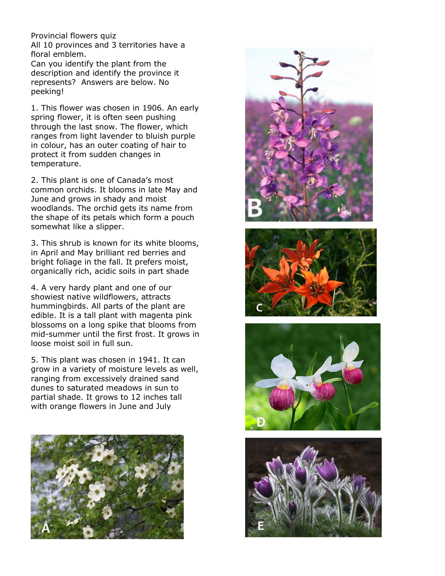Provincial flowers quiz All 10 provinces and 3 territories have a floral emblem.

Can you identify the plant from the description and identify the province it represents? Answers are below. No peeking!

1. This flower was chosen in 1906. An early spring flower, it is often seen pushing through the last snow. The flower, which ranges from light lavender to bluish purple in colour, has an outer coating of hair to protect it from sudden changes in temperature.

2. This plant is one of Canada's most common orchids. It blooms in late May and June and grows in shady and moist woodlands. The orchid gets its name from the shape of its petals which form a pouch somewhat like a slipper.

3. This shrub is known for its white blooms, in April and May brilliant red berries and bright foliage in the fall. It prefers moist, organically rich, acidic soils in part shade

4. A very hardy plant and one of our showiest native wildflowers, attracts hummingbirds. All parts of the plant are edible. It is a tall plant with magenta pink blossoms on a long spike that blooms from mid-summer until the first frost. It grows in loose moist soil in full sun.

5. This plant was chosen in 1941. It can grow in a variety of moisture levels as well, ranging from excessively drained sand dunes to saturated meadows in sun to partial shade. It grows to 12 inches tall with orange flowers in June and July